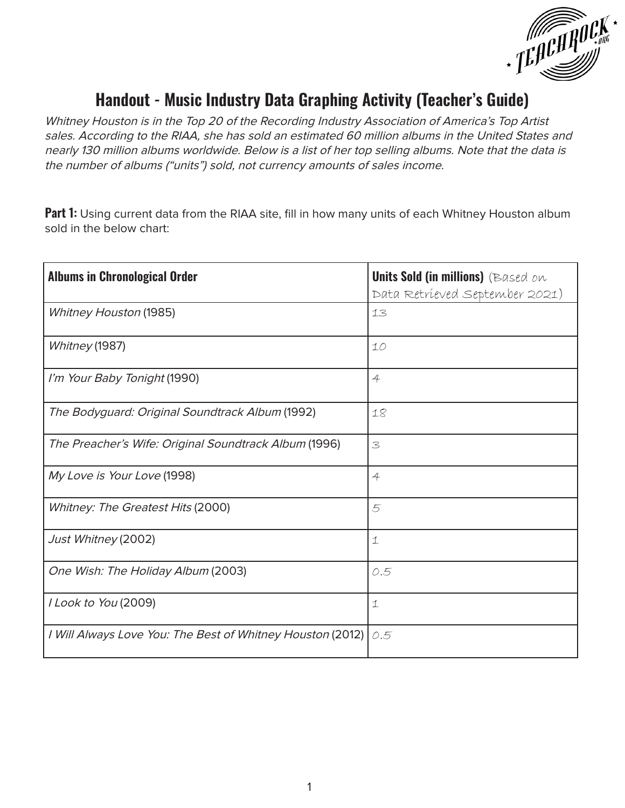

## **Handout - Music Industry Data Graphing Activity (Teacher's Guide)**

Whitney Houston is in the Top 20 of the Recording Industry Association of America's Top Artist sales. According to the RIAA, she has sold an estimated 60 million albums in the United States and nearly 130 million albums worldwide. Below is a list of her top selling albums. Note that the data is the number of albums ("units") sold, not currency amounts of sales income.

Part 1: Using current data from the RIAA site, fill in how many units of each Whitney Houston album sold in the below chart:

| <b>Albums in Chronological Order</b>                       | <b>Units Sold (in millions)</b> (Based on<br>Data Retrieved September 2021) |
|------------------------------------------------------------|-----------------------------------------------------------------------------|
| <b>Whitney Houston (1985)</b>                              | 13                                                                          |
| Whitney (1987)                                             | 10                                                                          |
| I'm Your Baby Tonight (1990)                               | $\overline{4}$                                                              |
| The Bodyguard: Original Soundtrack Album (1992)            | 18                                                                          |
| The Preacher's Wife: Original Soundtrack Album (1996)      | 3                                                                           |
| My Love is Your Love (1998)                                | $\overline{4}$                                                              |
| Whitney: The Greatest Hits (2000)                          | 5                                                                           |
| Just Whitney (2002)                                        | $\mathbf 1$                                                                 |
| One Wish: The Holiday Album (2003)                         | 0.5                                                                         |
| I Look to You (2009)                                       | $\mathbf 1$                                                                 |
| I Will Always Love You: The Best of Whitney Houston (2012) | 0.5                                                                         |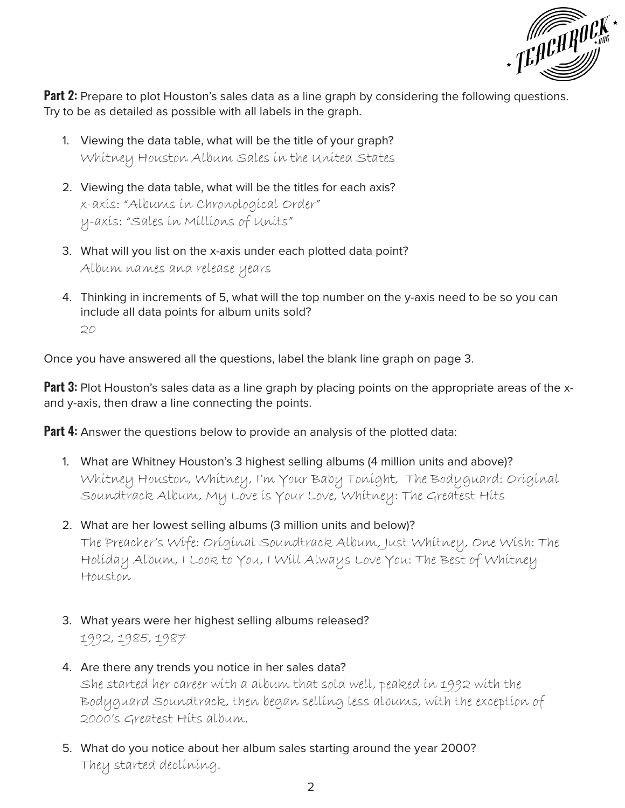

**Part 2:** Prepare to plot Houston's sales data as a line graph by considering the following questions. Try to be as detailed as possible with all labels in the graph.

- 1. Viewing the data table, what will be the title of your graph? Whitney Houston Album Sales in the United States
- 2. Viewing the data table, what will be the titles for each axis? x-axis: "Albums in Chronological Order" y-axis: "Sales in Millions of Units"
- 3. What will you list on the x-axis under each plotted data point? Album names and release years
- 4. Thinking in increments of 5, what will the top number on the y-axis need to be so you can include all data points for album units sold? 20

Once you have answered all the questions, label the blank line graph on page 3.

**Part 3:** Plot Houston's sales data as a line graph by placing points on the appropriate areas of the xand y-axis, then draw a line connecting the points.

**Part 4:** Answer the questions below to provide an analysis of the plotted data:

- 1. What are Whitney Houston's 3 highest selling albums (4 million units and above)? Whitney Houston, Whitney, I'm Your Baby Tonight, The Bodyguard: Original Soundtrack Album, My Love is Your Love, Whitney: The Greatest Hits
- 2. What are her lowest selling albums (3 million units and below)? The Preacher's Wife: Original Soundtrack Album, Just Whitney, One Wish: The Holiday Album, I Look to You, I Will Always Love You: The Best of Whitney Houston
- 3. What years were her highest selling albums released? 1992, 1985, 1987
- 4. Are there any trends you notice in her sales data? She started her career with a album that sold well, peaked in 1992 with the Bodyguard Soundtrack, then began selling less albums, with the exception of 2000's Greatest Hits album.
- 5. What do you notice about her album sales starting around the year 2000? They started declining.